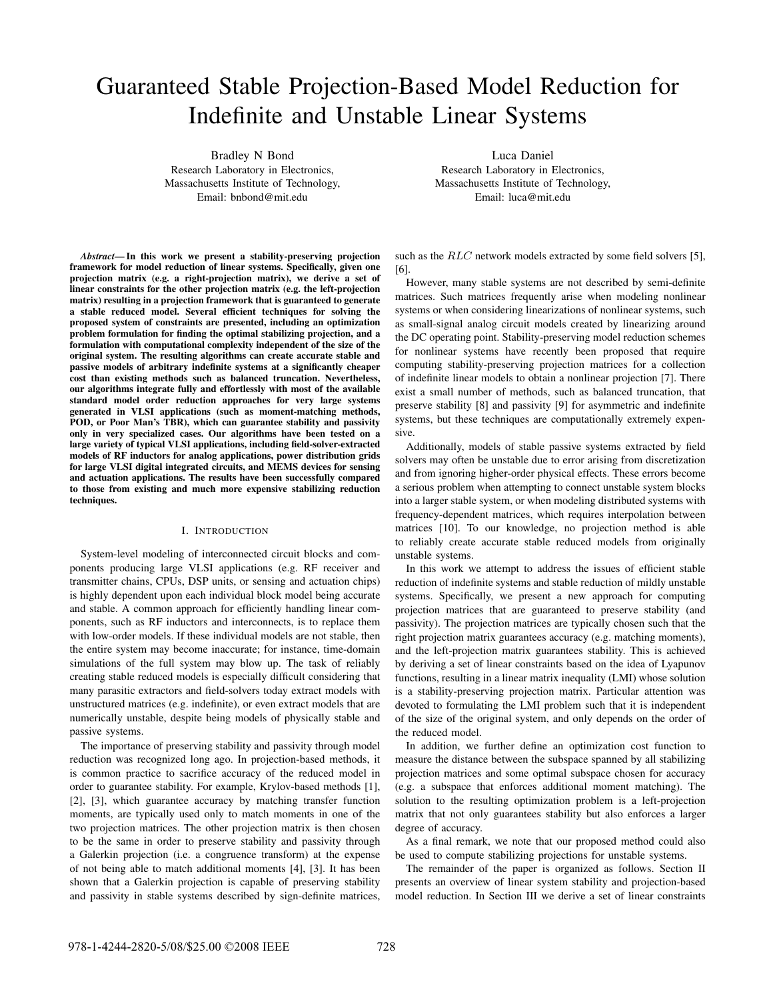# Guaranteed Stable Projection-Based Model Reduction for Indefinite and Unstable Linear Systems

Bradley N Bond Research Laboratory in Electronics, Massachusetts Institute of Technology, Email: bnbond@mit.edu

*Abstract***— In this work we present a stability-preserving projection framework for model reduction of linear systems. Specifically, given one projection matrix (e.g. a right-projection matrix), we derive a set of linear constraints for the other projection matrix (e.g. the left-projection matrix) resulting in a projection framework that is guaranteed to generate a stable reduced model. Several efficient techniques for solving the proposed system of constraints are presented, including an optimization problem formulation for finding the optimal stabilizing projection, and a formulation with computational complexity independent of the size of the original system. The resulting algorithms can create accurate stable and passive models of arbitrary indefinite systems at a significantly cheaper cost than existing methods such as balanced truncation. Nevertheless, our algorithms integrate fully and effortlessly with most of the available standard model order reduction approaches for very large systems generated in VLSI applications (such as moment-matching methods, POD, or Poor Man's TBR), which can guarantee stability and passivity only in very specialized cases. Our algorithms have been tested on a large variety of typical VLSI applications, including field-solver-extracted models of RF inductors for analog applications, power distribution grids for large VLSI digital integrated circuits, and MEMS devices for sensing and actuation applications. The results have been successfully compared to those from existing and much more expensive stabilizing reduction techniques.**

## I. INTRODUCTION

System-level modeling of interconnected circuit blocks and components producing large VLSI applications (e.g. RF receiver and transmitter chains, CPUs, DSP units, or sensing and actuation chips) is highly dependent upon each individual block model being accurate and stable. A common approach for efficiently handling linear components, such as RF inductors and interconnects, is to replace them with low-order models. If these individual models are not stable, then the entire system may become inaccurate; for instance, time-domain simulations of the full system may blow up. The task of reliably creating stable reduced models is especially difficult considering that many parasitic extractors and field-solvers today extract models with unstructured matrices (e.g. indefinite), or even extract models that are numerically unstable, despite being models of physically stable and passive systems.

The importance of preserving stability and passivity through model reduction was recognized long ago. In projection-based methods, it is common practice to sacrifice accuracy of the reduced model in order to guarantee stability. For example, Krylov-based methods [1], [2], [3], which guarantee accuracy by matching transfer function moments, are typically used only to match moments in one of the two projection matrices. The other projection matrix is then chosen to be the same in order to preserve stability and passivity through a Galerkin projection (i.e. a congruence transform) at the expense of not being able to match additional moments [4], [3]. It has been shown that a Galerkin projection is capable of preserving stability and passivity in stable systems described by sign-definite matrices,

Luca Daniel Research Laboratory in Electronics, Massachusetts Institute of Technology, Email: luca@mit.edu

such as the RLC network models extracted by some field solvers [5], [6].

However, many stable systems are not described by semi-definite matrices. Such matrices frequently arise when modeling nonlinear systems or when considering linearizations of nonlinear systems, such as small-signal analog circuit models created by linearizing around the DC operating point. Stability-preserving model reduction schemes for nonlinear systems have recently been proposed that require computing stability-preserving projection matrices for a collection of indefinite linear models to obtain a nonlinear projection [7]. There exist a small number of methods, such as balanced truncation, that preserve stability [8] and passivity [9] for asymmetric and indefinite systems, but these techniques are computationally extremely expensive.

Additionally, models of stable passive systems extracted by field solvers may often be unstable due to error arising from discretization and from ignoring higher-order physical effects. These errors become a serious problem when attempting to connect unstable system blocks into a larger stable system, or when modeling distributed systems with frequency-dependent matrices, which requires interpolation between matrices [10]. To our knowledge, no projection method is able to reliably create accurate stable reduced models from originally unstable systems.

In this work we attempt to address the issues of efficient stable reduction of indefinite systems and stable reduction of mildly unstable systems. Specifically, we present a new approach for computing projection matrices that are guaranteed to preserve stability (and passivity). The projection matrices are typically chosen such that the right projection matrix guarantees accuracy (e.g. matching moments), and the left-projection matrix guarantees stability. This is achieved by deriving a set of linear constraints based on the idea of Lyapunov functions, resulting in a linear matrix inequality (LMI) whose solution is a stability-preserving projection matrix. Particular attention was devoted to formulating the LMI problem such that it is independent of the size of the original system, and only depends on the order of the reduced model.

In addition, we further define an optimization cost function to measure the distance between the subspace spanned by all stabilizing projection matrices and some optimal subspace chosen for accuracy (e.g. a subspace that enforces additional moment matching). The solution to the resulting optimization problem is a left-projection matrix that not only guarantees stability but also enforces a larger degree of accuracy.

As a final remark, we note that our proposed method could also be used to compute stabilizing projections for unstable systems.

The remainder of the paper is organized as follows. Section II presents an overview of linear system stability and projection-based model reduction. In Section III we derive a set of linear constraints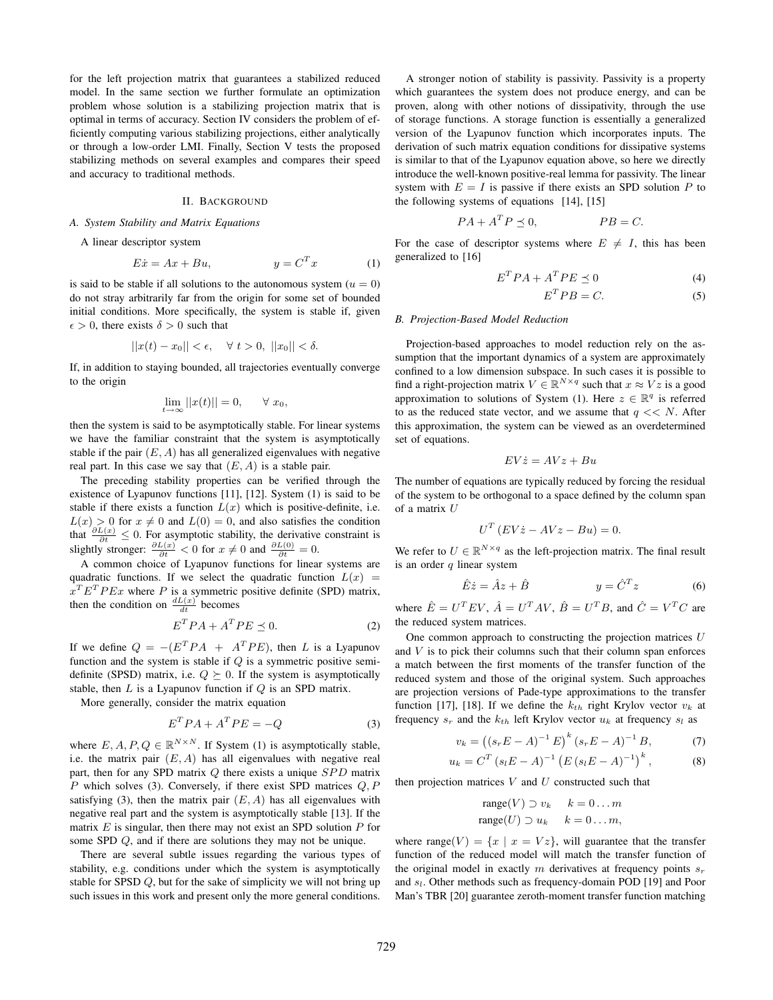for the left projection matrix that guarantees a stabilized reduced model. In the same section we further formulate an optimization problem whose solution is a stabilizing projection matrix that is optimal in terms of accuracy. Section IV considers the problem of efficiently computing various stabilizing projections, either analytically or through a low-order LMI. Finally, Section V tests the proposed stabilizing methods on several examples and compares their speed and accuracy to traditional methods.

# II. BACKGROUND

# *A. System Stability and Matrix Equations*

A linear descriptor system

$$
E\dot{x} = Ax + Bu, \qquad y = C^T x \qquad (1)
$$

is said to be stable if all solutions to the autonomous system  $(u = 0)$ do not stray arbitrarily far from the origin for some set of bounded initial conditions. More specifically, the system is stable if, given  $\epsilon > 0$ , there exists  $\delta > 0$  such that

$$
||x(t)-x_0|| < \epsilon, \quad \forall \ t > 0, \ ||x_0|| < \delta.
$$

If, in addition to staying bounded, all trajectories eventually converge to the origin

$$
\lim_{t \to \infty} ||x(t)|| = 0, \quad \forall x_0,
$$

then the system is said to be asymptotically stable. For linear systems we have the familiar constraint that the system is asymptotically stable if the pair  $(E, A)$  has all generalized eigenvalues with negative real part. In this case we say that  $(E, A)$  is a stable pair.

The preceding stability properties can be verified through the existence of Lyapunov functions [11], [12]. System (1) is said to be stable if there exists a function  $L(x)$  which is positive-definite, i.e.  $L(x) > 0$  for  $x \neq 0$  and  $L(0) = 0$ , and also satisfies the condition  $L(x) > 0$  for  $x \neq 0$  and  $L(0) = 0$ , and also satisfies the condition that  $\frac{\partial L(x)}{\partial t} \leq 0$ . For asymptotic stability, the derivative constraint is slightly stronger:  $\frac{\partial L(x)}{\partial t} < 0$  for  $x \neq 0$  and  $\frac{\partial L(0)}{\partial t} = 0$ 

A common choice of Lyapunov functions for linear systems are quadratic functions. If we select the quadratic function  $L(x)$  =  $x^T E^T P E x$  where P is a symmetric positive definite (SPD) matrix, then the condition on  $\frac{dL(x)}{dt}$  becomes

$$
E^T P A + A^T P E \preceq 0. \tag{2}
$$

If we define  $Q = -(E^T P A + A^T P E)$ , then L is a Lyapunov function and the system is stable if  $Q$  is a symmetric positive semidefinite (SPSD) matrix, i.e.  $Q \succeq 0$ . If the system is asymptotically stable, then  $L$  is a Lyapunov function if  $Q$  is an SPD matrix.

More generally, consider the matrix equation

$$
E^T P A + A^T P E = -Q \tag{3}
$$

where  $E, A, P, Q \in \mathbb{R}^{N \times N}$ . If System (1) is asymptotically stable, i.e. the matrix pair  $(E, A)$  has all eigenvalues with negative real part, then for any SPD matrix Q there exists a unique SPD matrix P which solves (3). Conversely, if there exist SPD matrices  $Q, P$ satisfying (3), then the matrix pair  $(E, A)$  has all eigenvalues with negative real part and the system is asymptotically stable [13]. If the matrix  $E$  is singular, then there may not exist an SPD solution  $P$  for some SPD  $Q$ , and if there are solutions they may not be unique.

There are several subtle issues regarding the various types of stability, e.g. conditions under which the system is asymptotically stable for SPSD Q, but for the sake of simplicity we will not bring up such issues in this work and present only the more general conditions.

A stronger notion of stability is passivity. Passivity is a property which guarantees the system does not produce energy, and can be proven, along with other notions of dissipativity, through the use of storage functions. A storage function is essentially a generalized version of the Lyapunov function which incorporates inputs. The derivation of such matrix equation conditions for dissipative systems is similar to that of the Lyapunov equation above, so here we directly introduce the well-known positive-real lemma for passivity. The linear system with  $E = I$  is passive if there exists an SPD solution P to the following systems of equations [14], [15]

$$
PA + A^T P \preceq 0, \qquad PB = C.
$$

For the case of descriptor systems where  $E \neq I$ , this has been generalized to [16]

$$
E^T P A + A^T P E \preceq 0 \tag{4}
$$

$$
E^T P B = C. \tag{5}
$$

# *B. Projection-Based Model Reduction*

Projection-based approaches to model reduction rely on the assumption that the important dynamics of a system are approximately confined to a low dimension subspace. In such cases it is possible to find a right-projection matrix  $V \in \mathbb{R}^{N \times q}$  such that  $x \approx Vz$  is a good approximation to solutions of System (1). Here  $z \in \mathbb{R}^q$  is referred to as the reduced state vector, and we assume that  $q \ll N$ . After this approximation, the system can be viewed as an overdetermined set of equations.

$$
EV\dot{z} = AVz + Bu
$$

The number of equations are typically reduced by forcing the residual of the system to be orthogonal to a space defined by the column span of a matrix U

$$
U^T (EV\dot{z} - AVz - Bu) = 0.
$$

We refer to  $U \in \mathbb{R}^{N \times q}$  as the left-projection matrix. The final result is an order  $q$  linear system

$$
\hat{E}\dot{z} = \hat{A}z + \hat{B} \qquad \qquad y = \hat{C}^T z \qquad (6)
$$

where  $\hat{E} = U^T E V$ ,  $\hat{A} = U^T A V$ ,  $\hat{B} = U^T B$ , and  $\hat{C} = V^T C$  are the reduced system matrices.

One common approach to constructing the projection matrices  $U$ and  $V$  is to pick their columns such that their column span enforces a match between the first moments of the transfer function of the reduced system and those of the original system. Such approaches are projection versions of Pade-type approximations to the transfer function [17], [18]. If we define the  $k_{th}$  right Krylov vector  $v_k$  at frequency  $s_r$  and the  $k_{th}$  left Krylov vector  $u_k$  at frequency  $s_l$  as

$$
v_k = ((s_r E - A)^{-1} E)^k (s_r E - A)^{-1} B, \tag{7}
$$

$$
u_k = C^T (s_l E - A)^{-1} (E (s_l E - A)^{-1})^k, \qquad (8)
$$

then projection matrices  $V$  and  $U$  constructed such that

$$
\begin{aligned}\n\text{range}(V) &\supset v_k & k &= 0 \dots m \\
\text{range}(U) &\supset u_k & k &= 0 \dots m,\n\end{aligned}
$$

where range(V) =  $\{x \mid x = Vz\}$ , will guarantee that the transfer function of the reduced model will match the transfer function of the original model in exactly  $m$  derivatives at frequency points  $s_r$ and  $s_l$ . Other methods such as frequency-domain POD [19] and Poor Man's TBR [20] guarantee zeroth-moment transfer function matching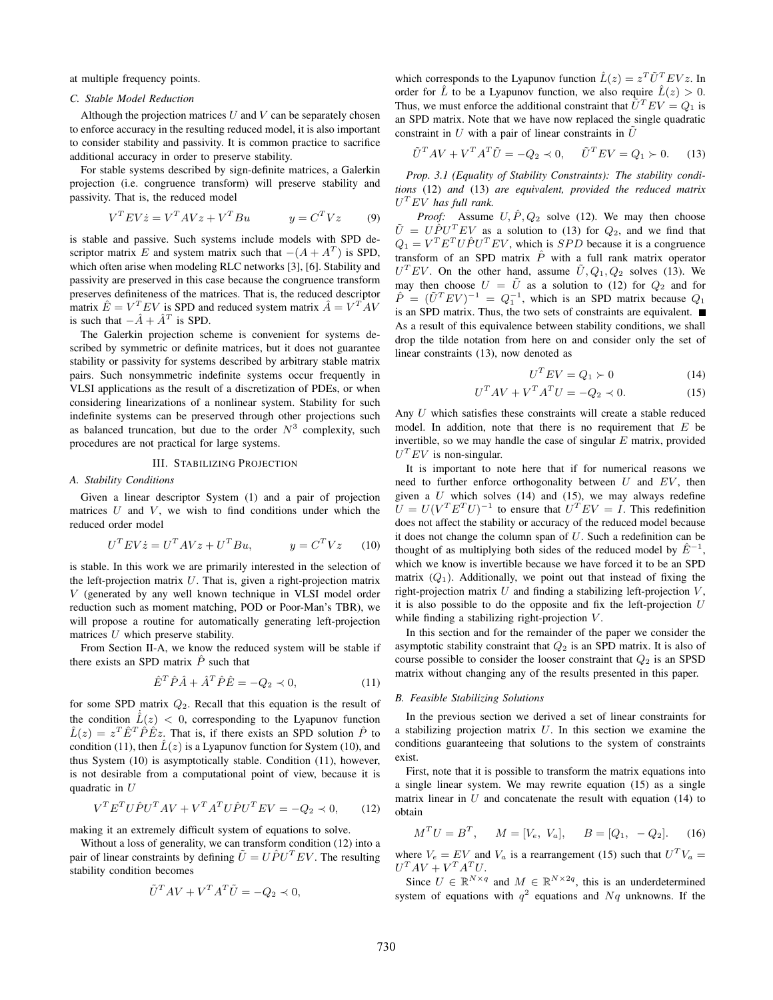at multiple frequency points.

# *C. Stable Model Reduction*

Although the projection matrices  $U$  and  $V$  can be separately chosen to enforce accuracy in the resulting reduced model, it is also important to consider stability and passivity. It is common practice to sacrifice additional accuracy in order to preserve stability.

For stable systems described by sign-definite matrices, a Galerkin projection (i.e. congruence transform) will preserve stability and passivity. That is, the reduced model

$$
V^T E V \dot{z} = V^T A V z + V^T B u \qquad \qquad y = C^T V z \qquad (9)
$$

is stable and passive. Such systems include models with SPD descriptor matrix E and system matrix such that  $-(A + A^T)$  is SPD, which often arise when modeling RLC networks [3], [6]. Stability and passivity are preserved in this case because the congruence transform preserves definiteness of the matrices. That is, the reduced descriptor matrix  $\hat{E} = V^T E V$  is SPD and reduced system matrix  $\hat{A} = V^T A V$ is such that  $-\hat{A} + \hat{A}^{T}$  is SPD.

The Galerkin projection scheme is convenient for systems described by symmetric or definite matrices, but it does not guarantee stability or passivity for systems described by arbitrary stable matrix pairs. Such nonsymmetric indefinite systems occur frequently in VLSI applications as the result of a discretization of PDEs, or when considering linearizations of a nonlinear system. Stability for such indefinite systems can be preserved through other projections such as balanced truncation, but due to the order  $N<sup>3</sup>$  complexity, such procedures are not practical for large systems.

# III. STABILIZING PROJECTION

## *A. Stability Conditions*

Given a linear descriptor System (1) and a pair of projection matrices  $U$  and  $V$ , we wish to find conditions under which the reduced order model

$$
UT EV \dot{z} = UT AVz + UTBu, \qquad y = CTVz \qquad (10)
$$

is stable. In this work we are primarily interested in the selection of the left-projection matrix  $U$ . That is, given a right-projection matrix V (generated by any well known technique in VLSI model order reduction such as moment matching, POD or Poor-Man's TBR), we will propose a routine for automatically generating left-projection matrices U which preserve stability.

From Section II-A, we know the reduced system will be stable if there exists an SPD matrix  $\hat{P}$  such that

$$
\hat{E}^T \hat{P} \hat{A} + \hat{A}^T \hat{P} \hat{E} = -Q_2 \prec 0, \tag{11}
$$

for some SPD matrix  $Q_2$ . Recall that this equation is the result of the condition  $L(z) < 0$ , corresponding to the Lyapunov function  $\hat{L}(z) = z^T \hat{E}^T \hat{E} \hat{E} z$ . That is if there exists an SPD solution  $\hat{E}$  to  $\hat{L}(z) = z^T \hat{E}^T \hat{P} \hat{E} z$ . That is, if there exists an SPD solution  $\hat{P}$  to condition (11), then  $\hat{L}(z)$  is a Lyapunov function for System (10), and thus System (10) is asymptotically stable. Condition (11), however, is not desirable from a computational point of view, because it is quadratic in  $U$ 

$$
V^T E^T U \hat{P} U^T A V + V^T A^T U \hat{P} U^T E V = -Q_2 \prec 0, \qquad (12)
$$

making it an extremely difficult system of equations to solve.

Without a loss of generality, we can transform condition (12) into a pair of linear constraints by defining  $\tilde{U} = U \hat{P} U^T E V$ . The resulting stability condition becomes

$$
\tilde{U}^T A V + V^T A^T \tilde{U} = -Q_2 \prec 0,
$$

which corresponds to the Lyapunov function  $\hat{L}(z) = z^T \tilde{U}^T E V z$ . In order for  $\hat{L}$  to be a Lyapunov function, we also require  $\hat{L}(z) > 0$ . Thus, we must enforce the additional constraint that  $\tilde{U}^T E V = Q_1$  is an SPD matrix. Note that we have now replaced the single quadratic constraint in U with a pair of linear constraints in  $\tilde{U}$ 

$$
\tilde{U}^T A V + V^T A^T \tilde{U} = -Q_2 \prec 0, \quad \tilde{U}^T E V = Q_1 \succ 0. \quad (13)
$$

*Prop. 3.1 (Equality of Stability Constraints): The stability conditions* (12) *and* (13) *are equivalent, provided the reduced matrix*  $U^T E V$  has full rank.

*Proof:* Assume  $U, \hat{P}, Q_2$  solve (12). We may then choose  $\tilde{U} = U \tilde{P} U^T E V$  as a solution to (13) for  $Q_2$ , and we find that  $Q_1 = V^T E^T U \hat{P} U^T E V$ , which is *SPD* because it is a congruence transform of an SPD matrix  $\hat{P}$  with a full rank matrix operator  $U^T E V$ . On the other hand, assume  $\tilde{U}, Q_1, Q_2$  solves (13). We may then choose  $U = \tilde{U}$  as a solution to (12) for  $Q_2$  and for  $\hat{P} = (\tilde{U}^T E V)^{-1} = Q_1^{-1}$ , which is an SPD matrix because  $Q_1$ <br>is an SPD matrix. Thus the two sets of constraints are equivalent. is an SPD matrix. Thus, the two sets of constraints are equivalent. As a result of this equivalence between stability conditions, we shall drop the tilde notation from here on and consider only the set of linear constraints (13), now denoted as

$$
U^T E V = Q_1 \succ 0 \tag{14}
$$

$$
U^T A V + V^T A^T U = -Q_2 \prec 0.
$$
 (15)

Any U which satisfies these constraints will create a stable reduced model. In addition, note that there is no requirement that  $E$  be invertible, so we may handle the case of singular  $E$  matrix, provided  $U^T E V$  is non-singular.

It is important to note here that if for numerical reasons we need to further enforce orthogonality between  $U$  and  $EV$ , then given a  $U$  which solves (14) and (15), we may always redefine  $U = U(V^T E^T U)^{-1}$  to ensure that  $U^T E V = I$ . This redefinition does not affect the stability or accuracy of the reduced model because does not affect the stability or accuracy of the reduced model because it does not change the column span of U. Such a redefinition can be thought of as multiplying both sides of the reduced model by  $E^{-1}$ , which we know is invertible because we have forced it to be an SPD matrix  $(Q_1)$ . Additionally, we point out that instead of fixing the right-projection matrix  $U$  and finding a stabilizing left-projection  $V$ , it is also possible to do the opposite and fix the left-projection  $U$ while finding a stabilizing right-projection  $V$ .

In this section and for the remainder of the paper we consider the asymptotic stability constraint that  $Q_2$  is an SPD matrix. It is also of course possible to consider the looser constraint that  $Q_2$  is an SPSD matrix without changing any of the results presented in this paper.

#### *B. Feasible Stabilizing Solutions*

In the previous section we derived a set of linear constraints for a stabilizing projection matrix  $U$ . In this section we examine the conditions guaranteeing that solutions to the system of constraints exist.

First, note that it is possible to transform the matrix equations into a single linear system. We may rewrite equation (15) as a single matrix linear in  $U$  and concatenate the result with equation (14) to obtain

$$
M^T U = B^T
$$
,  $M = [V_e, V_a]$ ,  $B = [Q_1, -Q_2]$ . (16)

where  $V_e = EV$  and  $V_a$  is a rearrangement (15) such that  $U^T V_a =$  $U^T A V + V^T A^T U.$ 

Since  $U \in \mathbb{R}^{N \times q}$  and  $M \in \mathbb{R}^{N \times 2q}$ , this is an underdetermined system of equations with  $q^2$  equations and Nq unknowns. If the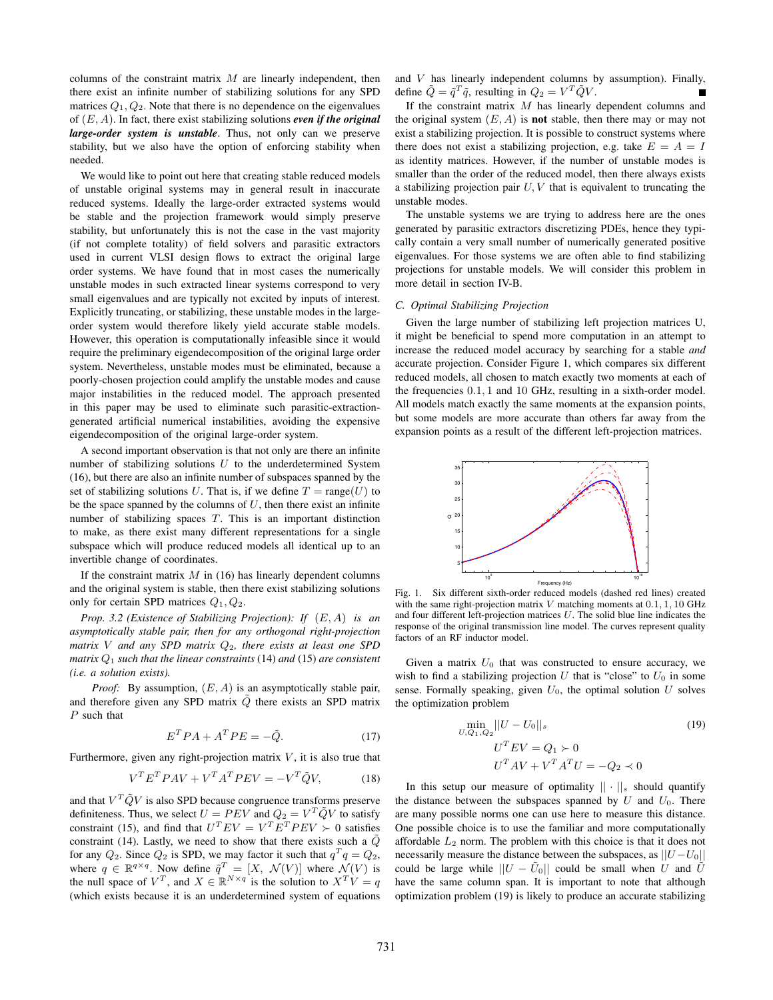columns of the constraint matrix  $M$  are linearly independent, then there exist an infinite number of stabilizing solutions for any SPD matrices  $Q_1, Q_2$ . Note that there is no dependence on the eigenvalues of (E,A). In fact, there exist stabilizing solutions *even if the original large-order system is unstable*. Thus, not only can we preserve stability, but we also have the option of enforcing stability when needed.

We would like to point out here that creating stable reduced models of unstable original systems may in general result in inaccurate reduced systems. Ideally the large-order extracted systems would be stable and the projection framework would simply preserve stability, but unfortunately this is not the case in the vast majority (if not complete totality) of field solvers and parasitic extractors used in current VLSI design flows to extract the original large order systems. We have found that in most cases the numerically unstable modes in such extracted linear systems correspond to very small eigenvalues and are typically not excited by inputs of interest. Explicitly truncating, or stabilizing, these unstable modes in the largeorder system would therefore likely yield accurate stable models. However, this operation is computationally infeasible since it would require the preliminary eigendecomposition of the original large order system. Nevertheless, unstable modes must be eliminated, because a poorly-chosen projection could amplify the unstable modes and cause major instabilities in the reduced model. The approach presented in this paper may be used to eliminate such parasitic-extractiongenerated artificial numerical instabilities, avoiding the expensive eigendecomposition of the original large-order system.

A second important observation is that not only are there an infinite number of stabilizing solutions  $U$  to the underdetermined System (16), but there are also an infinite number of subspaces spanned by the set of stabilizing solutions U. That is, if we define  $T = \text{range}(U)$  to be the space spanned by the columns of  $U$ , then there exist an infinite number of stabilizing spaces  $T$ . This is an important distinction to make, as there exist many different representations for a single subspace which will produce reduced models all identical up to an invertible change of coordinates.

If the constraint matrix  $M$  in (16) has linearly dependent columns and the original system is stable, then there exist stabilizing solutions only for certain SPD matrices  $Q_1, Q_2$ .

*Prop. 3.2 (Existence of Stabilizing Projection): If* (E,A) *is an asymptotically stable pair, then for any orthogonal right-projection matrix* V *and any SPD matrix* Q2*, there exists at least one SPD matrix* Q<sup>1</sup> *such that the linear constraints* (14) *and* (15) *are consistent (i.e. a solution exists).*

*Proof:* By assumption,  $(E, A)$  is an asymptotically stable pair, and therefore given any SPD matrix  $\tilde{Q}$  there exists an SPD matrix P such that

$$
E^T P A + A^T P E = -\tilde{Q}.
$$
 (17)

Furthermore, given any right-projection matrix  $V$ , it is also true that

$$
V^T E^T P A V + V^T A^T P E V = -V^T \tilde{Q} V,\tag{18}
$$

and that  $V^T \tilde{Q} V$  is also SPD because congruence transforms preserve definiteness. Thus, we select  $U = PEV$  and  $Q_2 = V^T \tilde{Q} V$  to satisfy constraint (15), and find that  $U^T E V = V^T E^T P E V \succ 0$  satisfies constraint (14). Lastly, we need to show that there exists such a  $\tilde{Q}$ for any  $Q_2$ . Since  $Q_2$  is SPD, we may factor it such that  $q^T q = Q_2$ , where  $q \in \mathbb{R}^{q \times q}$ . Now define  $\tilde{q}^T = [X, \mathcal{N}(V)]$  where  $\mathcal{N}(V)$  is the solution to  $X^T V = q$ the null space of  $V^T$ , and  $X \in \mathbb{R}^{N \times q}$  is the solution to  $X^T V = q$ (which exists because it is an underdetermined system of equations and V has linearly independent columns by assumption). Finally, define  $\tilde{Q} = \tilde{q}^T \tilde{q}$ , resulting in  $Q_2 = V^T \tilde{Q} V$ .

If the constraint matrix  $M$  has linearly dependent columns and the original system  $(E, A)$  is **not** stable, then there may or may not exist a stabilizing projection. It is possible to construct systems where there does not exist a stabilizing projection, e.g. take  $E = A = I$ as identity matrices. However, if the number of unstable modes is smaller than the order of the reduced model, then there always exists a stabilizing projection pair  $U, V$  that is equivalent to truncating the unstable modes.

The unstable systems we are trying to address here are the ones generated by parasitic extractors discretizing PDEs, hence they typically contain a very small number of numerically generated positive eigenvalues. For those systems we are often able to find stabilizing projections for unstable models. We will consider this problem in more detail in section IV-B.

# *C. Optimal Stabilizing Projection*

Given the large number of stabilizing left projection matrices U, it might be beneficial to spend more computation in an attempt to increase the reduced model accuracy by searching for a stable *and* accurate projection. Consider Figure 1, which compares six different reduced models, all chosen to match exactly two moments at each of the frequencies 0.1, 1 and 10 GHz, resulting in a sixth-order model. All models match exactly the same moments at the expansion points, but some models are more accurate than others far away from the expansion points as a result of the different left-projection matrices.



Fig. 1. Six different sixth-order reduced models (dashed red lines) created with the same right-projection matrix *V* matching moments at 0*.*1*,* 1*,* 10 GHz and four different left-projection matrices *U*. The solid blue line indicates the response of the original transmission line model. The curves represent quality factors of an RF inductor model.

Given a matrix  $U_0$  that was constructed to ensure accuracy, we wish to find a stabilizing projection U that is "close" to  $U_0$  in some sense. Formally speaking, given  $U_0$ , the optimal solution U solves the optimization problem

$$
\min_{U,Q_1,Q_2} ||U - U_0||_s
$$
\n
$$
U^T E V = Q_1 \succ 0
$$
\n
$$
U^T A V + V^T A^T U = -Q_2 \prec 0
$$
\n(19)

In this setup our measure of optimality  $|| \cdot ||_s$  should quantify the distance between the subspaces spanned by  $U$  and  $U_0$ . There are many possible norms one can use here to measure this distance. One possible choice is to use the familiar and more computationally affordable  $L_2$  norm. The problem with this choice is that it does not necessarily measure the distance between the subspaces, as  $||U - U_0||$ could be large while  $||U - U_0||$  could be small when U and U have the same column span. It is important to note that although optimization problem (19) is likely to produce an accurate stabilizing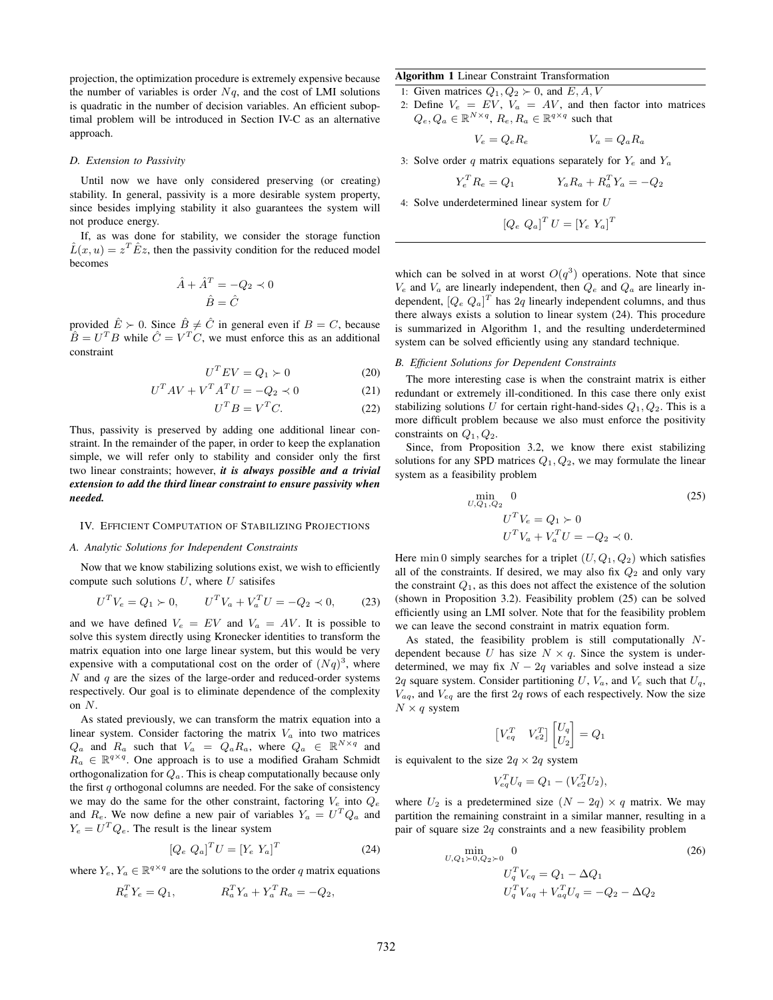projection, the optimization procedure is extremely expensive because the number of variables is order  $Nq$ , and the cost of LMI solutions is quadratic in the number of decision variables. An efficient suboptimal problem will be introduced in Section IV-C as an alternative approach.

#### *D. Extension to Passivity*

Until now we have only considered preserving (or creating) stability. In general, passivity is a more desirable system property, since besides implying stability it also guarantees the system will not produce energy.

If, as was done for stability, we consider the storage function  $\hat{L}(x, u) = z^T \hat{E} z$ , then the passivity condition for the reduced model becomes

$$
\hat{A} + \hat{A}^T = -Q_2 \prec 0
$$

$$
\hat{B} = \hat{C}
$$

provided  $\hat{E} \succ 0$ . Since  $\hat{B} \neq \hat{C}$  in general even if  $B = C$ , because  $\hat{B} = U^T B$  while  $\hat{C} = V^T C$ , we must enforce this as an additional constraint

$$
U^T E V = Q_1 \succ 0 \tag{20}
$$

$$
UTAV + VTATU = -Q2 \prec 0
$$
 (21)

$$
U^T B = V^T C. \tag{22}
$$

Thus, passivity is preserved by adding one additional linear constraint. In the remainder of the paper, in order to keep the explanation simple, we will refer only to stability and consider only the first two linear constraints; however, *it is always possible and a trivial extension to add the third linear constraint to ensure passivity when needed.*

#### IV. EFFICIENT COMPUTATION OF STABILIZING PROJECTIONS

## *A. Analytic Solutions for Independent Constraints*

Now that we know stabilizing solutions exist, we wish to efficiently compute such solutions  $U$ , where  $U$  satisifes

$$
U^{T}V_{e} = Q_{1} \succ 0, \qquad U^{T}V_{a} + V_{a}^{T}U = -Q_{2} \prec 0, \qquad (23)
$$

and we have defined  $V_e = EV$  and  $V_a = AV$ . It is possible to solve this system directly using Kronecker identities to transform the matrix equation into one large linear system, but this would be very expensive with a computational cost on the order of  $(Nq)^3$ , where  $N$  and  $q$  are the sizes of the large order and reduced order systems  $N$  and  $q$  are the sizes of the large-order and reduced-order systems respectively. Our goal is to eliminate dependence of the complexity on N.

As stated previously, we can transform the matrix equation into a linear system. Consider factoring the matrix  $V_a$  into two matrices  $Q_a$  and  $R_a$  such that  $V_a = Q_a R_a$ , where  $Q_a \in \mathbb{R}^{N \times q}$  and  $R_a \in \mathbb{R}^{q \times q}$ . One approach is to use a modified Graham Schmidt orthogonalization for  $Q_a$ . This is cheap computationally because only the first  $q$  orthogonal columns are needed. For the sake of consistency we may do the same for the other constraint, factoring  $V_e$  into  $Q_e$ and  $R_e$ . We now define a new pair of variables  $Y_a = U^T Q_a$  and  $Y_e = U^T Q_e$ . The result is the linear system

$$
[Q_e \ Q_a]^T U = [Y_e \ Y_a]^T
$$
 (24)

where  $Y_e, Y_a \in \mathbb{R}^{q \times q}$  are the solutions to the order q matrix equations

$$
R_e^T Y_e = Q_1, \qquad R_a^T Y_a + Y_a^T R_a = -Q_2,
$$

#### **Algorithm 1** Linear Constraint Transformation

- 1: Given matrices  $Q_1, Q_2 \succ 0$ , and  $E, A, V$
- 2: Define  $V_e = EV$ ,  $V_a = AV$ , and then factor into matrices  $Q_e, Q_a \in \mathbb{R}^{N \times q}, R_e, R_a \in \mathbb{R}^{q \times q}$  such that

$$
V_e = Q_e R_e \qquad V_a = Q_a R_a
$$

3: Solve order q matrix equations separately for  $Y_e$  and  $Y_a$ 

$$
Y_e^T R_e = Q_1 \qquad \qquad Y_a R_a + R_a^T Y_a = -Q_2
$$

4: Solve underdetermined linear system for U

$$
[Q_e \ Q_a]^T U = [Y_e \ Y_a]^T
$$

which can be solved in at worst  $O(q^3)$  operations. Note that since  $V_e$  and  $V_a$  are linearly independent, then  $Q_e$  and  $Q_a$  are linearly independent,  $[Q_e Q_a]^T$  has  $2q$  linearly independent columns, and thus<br>there always exists a solution to linear system (24). This procedure there always exists a solution to linear system (24). This procedure is summarized in Algorithm 1, and the resulting underdetermined system can be solved efficiently using any standard technique.

## *B. Efficient Solutions for Dependent Constraints*

The more interesting case is when the constraint matrix is either redundant or extremely ill-conditioned. In this case there only exist stabilizing solutions U for certain right-hand-sides  $Q_1, Q_2$ . This is a more difficult problem because we also must enforce the positivity constraints on  $Q_1, Q_2$ .

Since, from Proposition 3.2, we know there exist stabilizing solutions for any SPD matrices  $Q_1, Q_2$ , we may formulate the linear system as a feasibility problem

$$
\min_{U, Q_1, Q_2} 0
$$
\n
$$
U^T V_e = Q_1 \succ 0
$$
\n
$$
U^T V_a + V_a^T U = -Q_2 \prec 0.
$$
\n(25)

Here min 0 simply searches for a triplet  $(U, Q_1, Q_2)$  which satisfies all of the constraints. If desired, we may also fix  $Q_2$  and only vary the constraint  $Q_1$ , as this does not affect the existence of the solution (shown in Proposition 3.2). Feasibility problem (25) can be solved efficiently using an LMI solver. Note that for the feasibility problem we can leave the second constraint in matrix equation form.

As stated, the feasibility problem is still computationally  $N$ dependent because U has size  $N \times q$ . Since the system is underdetermined, we may fix  $N - 2q$  variables and solve instead a size  $2q$  square system. Consider partitioning U,  $V_a$ , and  $V_e$  such that  $U_q$ ,  $V_{aq}$ , and  $V_{eq}$  are the first  $2q$  rows of each respectively. Now the size  $N \times q$  system

$$
\begin{bmatrix} V_{eq}^T & V_{e2}^T \end{bmatrix} \begin{bmatrix} U_q \\ U_2 \end{bmatrix} = Q_1
$$

is equivalent to the size  $2q \times 2q$  system

$$
V_{eq}^T U_q = Q_1 - (V_{e2}^T U_2),
$$

where  $U_2$  is a predetermined size  $(N - 2q) \times q$  matrix. We may partition the remaining constraint in a similar manner, resulting in a pair of square size 2<sup>q</sup> constraints and a new feasibility problem

$$
U_{1}Q_{1} \rightharpoonup 0, Q_{2} \rightharpoonup 0
$$
\n
$$
U_{q}^{T}V_{eq} = Q_{1} - \Delta Q_{1}
$$
\n
$$
U_{q}^{T}V_{aq} + V_{aq}^{T}U_{q} = -Q_{2} - \Delta Q_{2}
$$
\n
$$
(26)
$$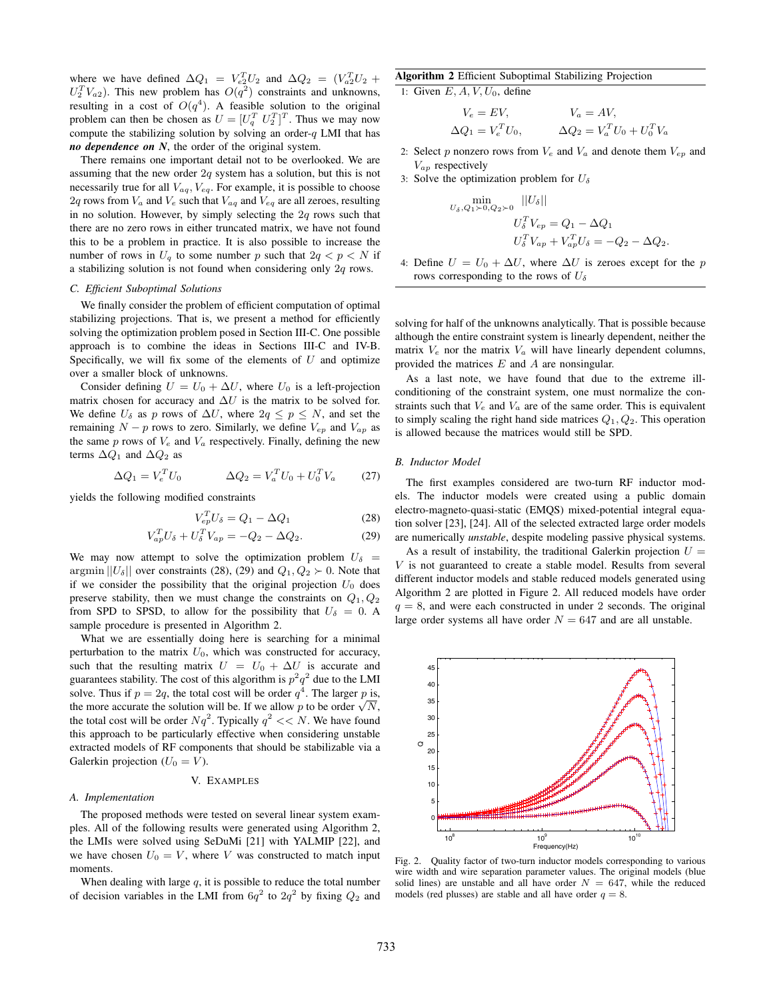where we have defined  $\Delta Q_1 = V_{e_2}^T U_2$  and  $\Delta Q_2 = (V_{a_2}^T U_2 + U_2^T V_{a_2})$ . This new problem has  $O(q^2)$  constraints and unknowns, resulting in a cost of  $O(q^4)$ . A feasible solution to the original resulting in a cost of  $O(q^4)$ . A feasible solution to the original problem can then be chosen as  $U = [U_q^T U_2^T]^T$ . Thus we may now problem can then be chosen as  $U = [U_q \ U_2]$ . Thus we may now<br>compute the stabilizing solution by solving an order-q LMI that has *no dependence on N*, the order of the original system.

There remains one important detail not to be overlooked. We are assuming that the new order  $2q$  system has a solution, but this is not necessarily true for all  $V_{aq}$ ,  $V_{eq}$ . For example, it is possible to choose  $2q$  rows from  $V_a$  and  $V_e$  such that  $V_{aq}$  and  $V_{eq}$  are all zeroes, resulting in no solution. However, by simply selecting the  $2q$  rows such that there are no zero rows in either truncated matrix, we have not found this to be a problem in practice. It is also possible to increase the number of rows in  $U_q$  to some number p such that  $2q < p < N$  if a stabilizing solution is not found when considering only  $2q$  rows.

#### *C. Efficient Suboptimal Solutions*

We finally consider the problem of efficient computation of optimal stabilizing projections. That is, we present a method for efficiently solving the optimization problem posed in Section III-C. One possible approach is to combine the ideas in Sections III-C and IV-B. Specifically, we will fix some of the elements of  $U$  and optimize over a smaller block of unknowns.

Consider defining  $U = U_0 + \Delta U$ , where  $U_0$  is a left-projection matrix chosen for accuracy and  $\Delta U$  is the matrix to be solved for. We define  $U_{\delta}$  as p rows of  $\Delta U$ , where  $2q \leq p \leq N$ , and set the remaining  $N - p$  rows to zero. Similarly, we define  $V_{ep}$  and  $V_{ap}$  as the same  $p$  rows of  $V_e$  and  $V_a$  respectively. Finally, defining the new terms  $\Delta Q_1$  and  $\Delta Q_2$  as

$$
\Delta Q_1 = V_e^T U_0 \qquad \Delta Q_2 = V_a^T U_0 + U_0^T V_a \qquad (27)
$$

yields the following modified constraints

$$
V_{ep}^T U_\delta = Q_1 - \Delta Q_1 \tag{28}
$$

$$
V_{ap}^{T}U_{\delta} + U_{\delta}^{T}V_{ap} = -Q_{2} - \Delta Q_{2}.
$$
 (29)

We may now attempt to solve the optimization problem  $U_{\delta}$  = argmin  $||U_{\delta}||$  over constraints (28), (29) and  $Q_1, Q_2 \succ 0$ . Note that if we consider the possibility that the original projection  $U_0$  does preserve stability, then we must change the constraints on  $Q_1, Q_2$ from SPD to SPSD, to allow for the possibility that  $U_{\delta} = 0$ . A sample procedure is presented in Algorithm 2.

What we are essentially doing here is searching for a minimal perturbation to the matrix  $U_0$ , which was constructed for accuracy, such that the resulting matrix  $U = U_0 + \Delta U$  is accurate and guarantees stability. The cost of this algorithm is  $p^2q^2$  due to the LMI solve. Thus if  $p = 2q$ , the total cost will be order  $q<sup>4</sup>$ . The larger p is, the more accurate the solution will be. If we allow p to be order  $\sqrt{N}$ , the total cost will be order  $Nq^2$ . Typically  $q^2 \ll N$ . We have found this approach to be particularly effective when considering unstable extracted models of RF components that should be stabilizable via a Galerkin projection ( $U_0 = V$ ).

# V. EXAMPLES

## *A. Implementation*

The proposed methods were tested on several linear system examples. All of the following results were generated using Algorithm 2, the LMIs were solved using SeDuMi [21] with YALMIP [22], and we have chosen  $U_0 = V$ , where V was constructed to match input moments.

When dealing with large  $q$ , it is possible to reduce the total number of decision variables in the LMI from  $6q^2$  to  $2q^2$  by fixing  $Q_2$  and

# **Algorithm 2** Efficient Suboptimal Stabilizing Projection

1: Given  $E, A, V, U_0$ , define

$$
V_e = EV,
$$
  
\n
$$
\Delta Q_1 = V_e^T U_0,
$$
  
\n
$$
V_a = AV,
$$
  
\n
$$
\Delta Q_2 = V_a^T U_0 + U_0^T V_a
$$

- 2: Select p nonzero rows from  $V_e$  and  $V_a$  and denote them  $V_{ep}$  and  $V_{ap}$  respectively
- 3: Solve the optimization problem for  $U_{\delta}$

$$
U_{\delta}, Q_1 > 0, Q_2 > 0
$$
  

$$
U_{\delta}^T V_{ep} = Q_1 - \Delta Q_1
$$
  

$$
U_{\delta}^T V_{ap} + V_{ap}^T U_{\delta} = -Q_2 - \Delta Q_2.
$$

4: Define  $U = U_0 + \Delta U$ , where  $\Delta U$  is zeroes except for the p rows corresponding to the rows of  $U_{\delta}$ 

solving for half of the unknowns analytically. That is possible because although the entire constraint system is linearly dependent, neither the matrix  $V_e$  nor the matrix  $V_a$  will have linearly dependent columns, provided the matrices E and A are nonsingular.

As a last note, we have found that due to the extreme illconditioning of the constraint system, one must normalize the constraints such that  $V_e$  and  $V_a$  are of the same order. This is equivalent to simply scaling the right hand side matrices  $Q_1, Q_2$ . This operation is allowed because the matrices would still be SPD.

# *B. Inductor Model*

The first examples considered are two-turn RF inductor models. The inductor models were created using a public domain electro-magneto-quasi-static (EMQS) mixed-potential integral equation solver [23], [24]. All of the selected extracted large order models are numerically *unstable*, despite modeling passive physical systems.

As a result of instability, the traditional Galerkin projection  $U =$ V is not guaranteed to create a stable model. Results from several different inductor models and stable reduced models generated using Algorithm 2 are plotted in Figure 2. All reduced models have order  $q = 8$ , and were each constructed in under 2 seconds. The original large order systems all have order  $N = 647$  and are all unstable.



Fig. 2. Quality factor of two-turn inductor models corresponding to various wire width and wire separation parameter values. The original models (blue solid lines) are unstable and all have order  $N = 647$ , while the reduced models (red plusses) are stable and all have order  $q = 8$ .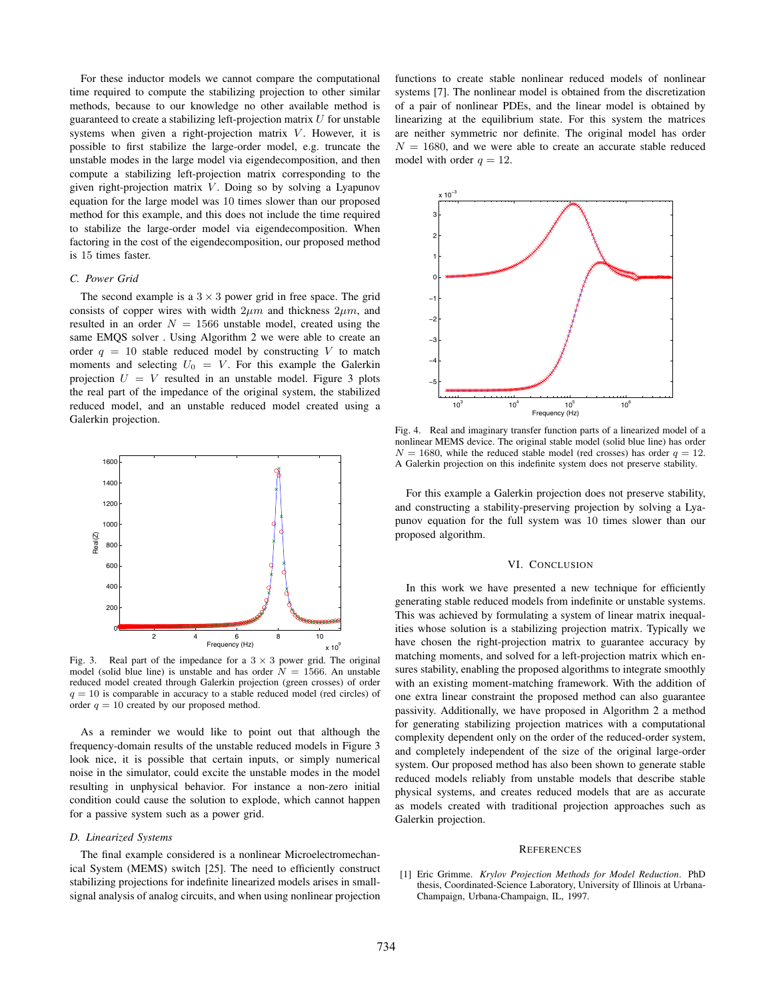For these inductor models we cannot compare the computational time required to compute the stabilizing projection to other similar methods, because to our knowledge no other available method is guaranteed to create a stabilizing left-projection matrix  $U$  for unstable systems when given a right-projection matrix  $V$ . However, it is possible to first stabilize the large-order model, e.g. truncate the unstable modes in the large model via eigendecomposition, and then compute a stabilizing left-projection matrix corresponding to the given right-projection matrix  $V$ . Doing so by solving a Lyapunov equation for the large model was 10 times slower than our proposed method for this example, and this does not include the time required to stabilize the large-order model via eigendecomposition. When factoring in the cost of the eigendecomposition, our proposed method is 15 times faster.

# *C. Power Grid*

The second example is a  $3 \times 3$  power grid in free space. The grid consists of copper wires with width  $2\mu m$  and thickness  $2\mu m$ , and resulted in an order  $N = 1566$  unstable model, created using the same EMQS solver . Using Algorithm 2 we were able to create an order  $q = 10$  stable reduced model by constructing V to match moments and selecting  $U_0 = V$ . For this example the Galerkin projection  $U = V$  resulted in an unstable model. Figure 3 plots the real part of the impedance of the original system, the stabilized reduced model, and an unstable reduced model created using a Galerkin projection.



Fig. 3. Real part of the impedance for a  $3 \times 3$  power grid. The original model (solid blue line) is unstable and has order  $N = 1566$ . An unstable reduced model created through Galerkin projection (green crosses) of order  $q = 10$  is comparable in accuracy to a stable reduced model (red circles) of order  $q = 10$  created by our proposed method.

As a reminder we would like to point out that although the frequency-domain results of the unstable reduced models in Figure 3 look nice, it is possible that certain inputs, or simply numerical noise in the simulator, could excite the unstable modes in the model resulting in unphysical behavior. For instance a non-zero initial condition could cause the solution to explode, which cannot happen for a passive system such as a power grid.

# *D. Linearized Systems*

The final example considered is a nonlinear Microelectromechanical System (MEMS) switch [25]. The need to efficiently construct stabilizing projections for indefinite linearized models arises in smallsignal analysis of analog circuits, and when using nonlinear projection

functions to create stable nonlinear reduced models of nonlinear systems [7]. The nonlinear model is obtained from the discretization of a pair of nonlinear PDEs, and the linear model is obtained by linearizing at the equilibrium state. For this system the matrices are neither symmetric nor definite. The original model has order  $N = 1680$ , and we were able to create an accurate stable reduced model with order  $q = 12$ .



Fig. 4. Real and imaginary transfer function parts of a linearized model of a nonlinear MEMS device. The original stable model (solid blue line) has order  $N = 1680$ , while the reduced stable model (red crosses) has order  $q = 12$ . A Galerkin projection on this indefinite system does not preserve stability.

For this example a Galerkin projection does not preserve stability, and constructing a stability-preserving projection by solving a Lyapunov equation for the full system was 10 times slower than our proposed algorithm.

# VI. CONCLUSION

In this work we have presented a new technique for efficiently generating stable reduced models from indefinite or unstable systems. This was achieved by formulating a system of linear matrix inequalities whose solution is a stabilizing projection matrix. Typically we have chosen the right-projection matrix to guarantee accuracy by matching moments, and solved for a left-projection matrix which ensures stability, enabling the proposed algorithms to integrate smoothly with an existing moment-matching framework. With the addition of one extra linear constraint the proposed method can also guarantee passivity. Additionally, we have proposed in Algorithm 2 a method for generating stabilizing projection matrices with a computational complexity dependent only on the order of the reduced-order system, and completely independent of the size of the original large-order system. Our proposed method has also been shown to generate stable reduced models reliably from unstable models that describe stable physical systems, and creates reduced models that are as accurate as models created with traditional projection approaches such as Galerkin projection.

#### **REFERENCES**

[1] Eric Grimme. *Krylov Projection Methods for Model Reduction*. PhD thesis, Coordinated-Science Laboratory, University of Illinois at Urbana-Champaign, Urbana-Champaign, IL, 1997.